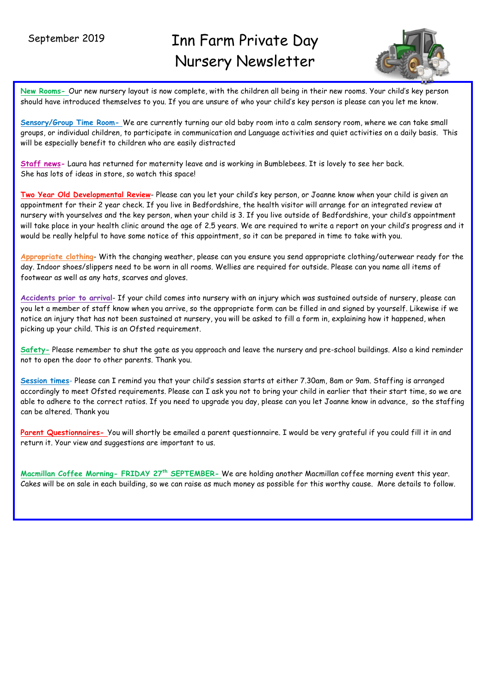$\overline{a}$ 

# Inn Farm Private Day Nursery Newsletter



**New Rooms-** Our new nursery layout is now complete, with the children all being in their new rooms. Your child's key person should have introduced themselves to you. If you are unsure of who your child's key person is please can you let me know.

**Sensory/Group Time Room-** We are currently turning our old baby room into a calm sensory room, where we can take small groups, or individual children, to participate in communication and Language activities and quiet activities on a daily basis. This will be especially benefit to children who are easily distracted

**Staff news-** Laura has returned for maternity leave and is working in Bumblebees. It is lovely to see her back. She has lots of ideas in store, so watch this space!

**Two Year Old Developmental Review**- Please can you let your child's key person, or Joanne know when your child is given an appointment for their 2 year check. If you live in Bedfordshire, the health visitor will arrange for an integrated review at nursery with yourselves and the key person, when your child is 3. If you live outside of Bedfordshire, your child's appointment will take place in your health clinic around the age of 2.5 years. We are required to write a report on your child's progress and it would be really helpful to have some notice of this appointment, so it can be prepared in time to take with you.

**Appropriate clothing**- With the changing weather, please can you ensure you send appropriate clothing/outerwear ready for the day. Indoor shoes/slippers need to be worn in all rooms. Wellies are required for outside. Please can you name all items of footwear as well as any hats, scarves and gloves.

**Accidents prior to arrival**- If your child comes into nursery with an injury which was sustained outside of nursery, please can you let a member of staff know when you arrive, so the appropriate form can be filled in and signed by yourself. Likewise if we notice an injury that has not been sustained at nursery, you will be asked to fill a form in, explaining how it happened, when picking up your child. This is an Ofsted requirement.

**Safety-** Please remember to shut the gate as you approach and leave the nursery and pre-school buildings. Also a kind reminder not to open the door to other parents. Thank you.

**Session times**- Please can I remind you that your child's session starts at either 7.30am, 8am or 9am. Staffing is arranged accordingly to meet Ofsted requirements. Please can I ask you not to bring your child in earlier that their start time, so we are able to adhere to the correct ratios. If you need to upgrade you day, please can you let Joanne know in advance, so the staffing can be altered. Thank you

Parent Questionnaires- You will shortly be emailed a parent questionnaire. I would be very grateful if you could fill it in and return it. Your view and suggestions are important to us.

**Macmillan Coffee Morning- FRIDAY 27th SEPTEMBER-** We are holding another Macmillan coffee morning event this year. Cakes will be on sale in each building, so we can raise as much money as possible for this worthy cause. More details to follow.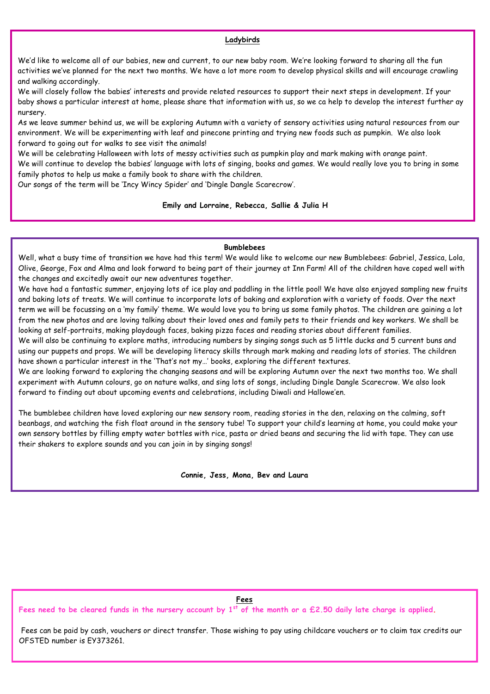### **Ladybirds**

We'd like to welcome all of our babies, new and current, to our new baby room. We're looking forward to sharing all the fun activities we've planned for the next two months. We have a lot more room to develop physical skills and will encourage crawling and walking accordingly.

We will closely follow the babies' interests and provide related resources to support their next steps in development. If your baby shows a particular interest at home, please share that information with us, so we ca help to develop the interest further ay nursery.

As we leave summer behind us, we will be exploring Autumn with a variety of sensory activities using natural resources from our environment. We will be experimenting with leaf and pinecone printing and trying new foods such as pumpkin. We also look forward to going out for walks to see visit the animals!

We will be celebrating Halloween with lots of messy activities such as pumpkin play and mark making with orange paint. We will continue to develop the babies' language with lots of singing, books and games. We would really love you to bring in some family photos to help us make a family book to share with the children.

Our songs of the term will be 'Incy Wincy Spider' and 'Dingle Dangle Scarecrow'.

### **Emily and Lorraine, Rebecca, Sallie & Julia H**

## **Bumblebees**

Well, what a busy time of transition we have had this term! We would like to welcome our new Bumblebees: Gabriel, Jessica, Lola, Olive, George, Fox and Alma and look forward to being part of their journey at Inn Farm! All of the children have coped well with the changes and excitedly await our new adventures together.

We have had a fantastic summer, enjoying lots of ice play and paddling in the little pool! We have also enjoyed sampling new fruits and baking lots of treats. We will continue to incorporate lots of baking and exploration with a variety of foods. Over the next term we will be focussing on a 'my family' theme. We would love you to bring us some family photos. The children are gaining a lot from the new photos and are loving talking about their loved ones and family pets to their friends and key workers. We shall be looking at self-portraits, making playdough faces, baking pizza faces and reading stories about different families.

We will also be continuing to explore maths, introducing numbers by singing songs such as 5 little ducks and 5 current buns and using our puppets and props. We will be developing literacy skills through mark making and reading lots of stories. The children have shown a particular interest in the 'That's not my…' books, exploring the different textures.

We are looking forward to exploring the changing seasons and will be exploring Autumn over the next two months too. We shall experiment with Autumn colours, go on nature walks, and sing lots of songs, including Dingle Dangle Scarecrow. We also look forward to finding out about upcoming events and celebrations, including Diwali and Hallowe'en.

The bumblebee children have loved exploring our new sensory room, reading stories in the den, relaxing on the calming, soft beanbags, and watching the fish float around in the sensory tube! To support your child's learning at home, you could make your own sensory bottles by filling empty water bottles with rice, pasta or dried beans and securing the lid with tape. They can use their shakers to explore sounds and you can join in by singing songs!

**Connie, Jess, Mona, Bev and Laura**

## **Fees**

**Fees need to be cleared funds in the nursery account by 1st of the month or a £2.50 daily late charge is applied.**

Fees can be paid by cash, vouchers or direct transfer. Those wishing to pay using childcare vouchers or to claim tax credits our OFSTED number is EY373261.